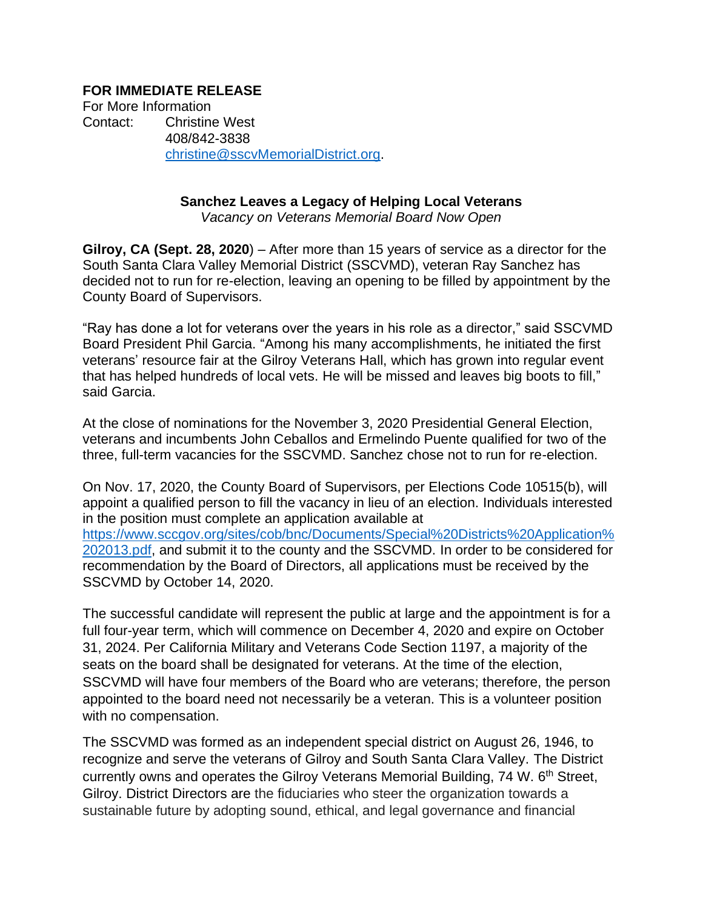## **FOR IMMEDIATE RELEASE**

For More Information Contact: Christine West 408/842-3838 [christine@sscvMemorialDistrict.org.](mailto:christine@sscvMemorialDistrict.org)

## **Sanchez Leaves a Legacy of Helping Local Veterans**

*Vacancy on Veterans Memorial Board Now Open*

**Gilroy, CA (Sept. 28, 2020**) – After more than 15 years of service as a director for the South Santa Clara Valley Memorial District (SSCVMD), veteran Ray Sanchez has decided not to run for re-election, leaving an opening to be filled by appointment by the County Board of Supervisors.

"Ray has done a lot for veterans over the years in his role as a director," said SSCVMD Board President Phil Garcia. "Among his many accomplishments, he initiated the first veterans' resource fair at the Gilroy Veterans Hall, which has grown into regular event that has helped hundreds of local vets. He will be missed and leaves big boots to fill," said Garcia.

At the close of nominations for the November 3, 2020 Presidential General Election, veterans and incumbents John Ceballos and Ermelindo Puente qualified for two of the three, full-term vacancies for the SSCVMD. Sanchez chose not to run for re-election.

On Nov. 17, 2020, the County Board of Supervisors, per Elections Code 10515(b), will appoint a qualified person to fill the vacancy in lieu of an election. Individuals interested in the position must complete an application available at [https://www.sccgov.org/sites/cob/bnc/Documents/Special%20Districts%20Application%](https://www.sccgov.org/sites/cob/bnc/Documents/Special%20Districts%20Application%202013.pdf) [202013.pdf,](https://www.sccgov.org/sites/cob/bnc/Documents/Special%20Districts%20Application%202013.pdf) and submit it to the county and the SSCVMD. In order to be considered for recommendation by the Board of Directors, all applications must be received by the SSCVMD by October 14, 2020.

The successful candidate will represent the public at large and the appointment is for a full four-year term, which will commence on December 4, 2020 and expire on October 31, 2024. Per California Military and Veterans Code Section 1197, a majority of the seats on the board shall be designated for veterans. At the time of the election, SSCVMD will have four members of the Board who are veterans; therefore, the person appointed to the board need not necessarily be a veteran. This is a volunteer position with no compensation.

The SSCVMD was formed as an independent special district on August 26, 1946, to recognize and serve the veterans of Gilroy and South Santa Clara Valley. The District currently owns and operates the Gilroy Veterans Memorial Building, 74 W. 6<sup>th</sup> Street, Gilroy. District Directors are the fiduciaries who steer the organization towards a sustainable future by adopting sound, ethical, and legal governance and financial